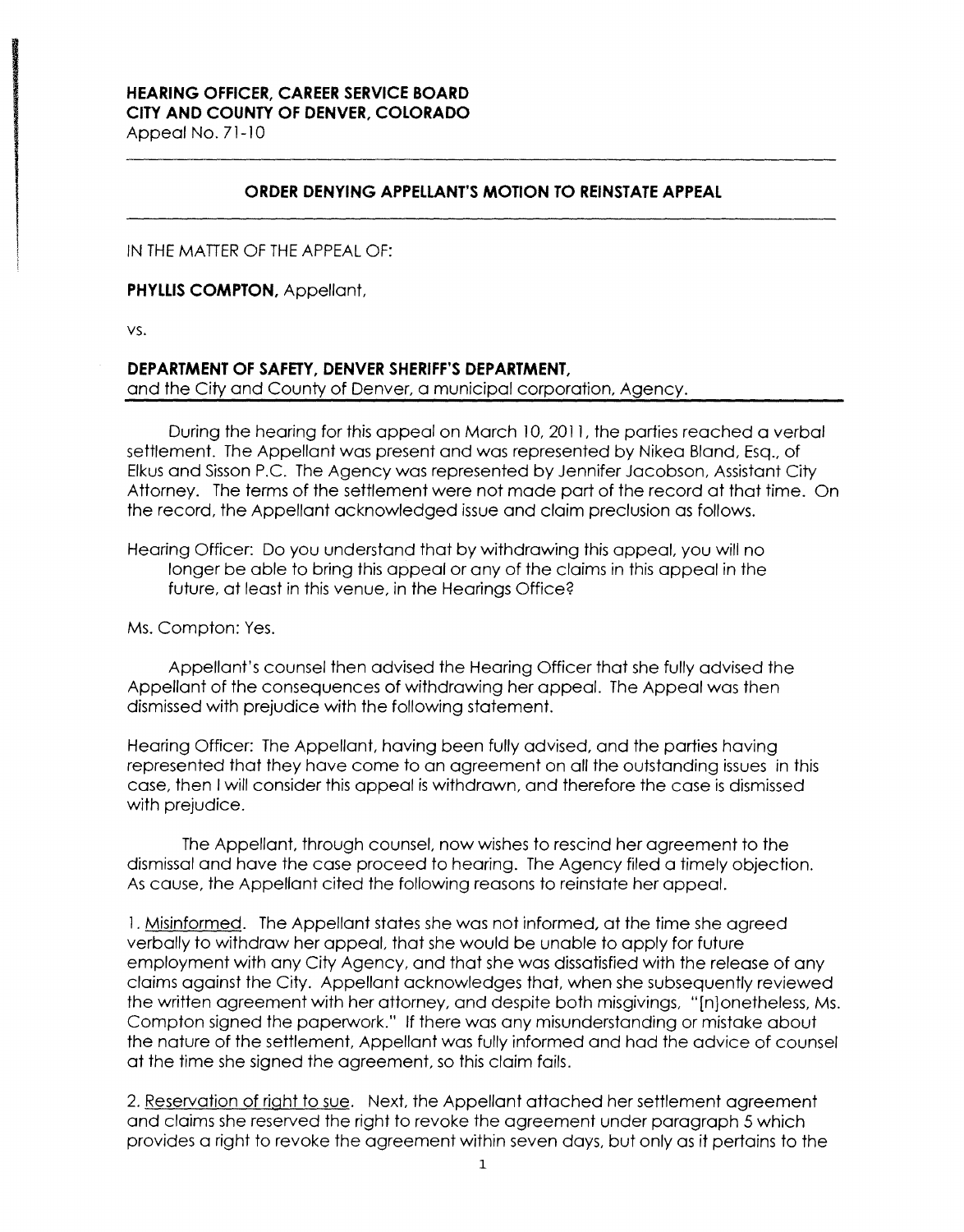## **HEARING OFFICER, CAREER SERVICE BOARD CITY AND COUNTY OF DENVER, COLORADO**

Appeal No. 71-10

## **ORDER DENYING APPELLANT'S MOTION TO REINSTATE APPEAL**

IN THE MATTER OF THE APPEAL OF:

**PHYLLIS COMPTON,** Appellant,

VS.

## **DEPARTMENT OF SAFETY, DENVER SHERIFF'S DEPARTMENT,**

and the City and County of Denver, a municipal corporation, Agency.

During the hearing for this appeal on March 10, 2011, the parties reached a verbal settlement. The Appellant was present and was represented by Nikea Bland, Esq., of Elkus and Sisson P.C. The Agency was represented by Jennifer Jacobson, Assistant City Attorney. The terms of the settlement were not made part of the record at that time. On the record, the Appellant acknowledged issue and claim preclusion as follows.

Hearing Officer: Do you understand that by withdrawing this appeal, you will no longer be able to bring this appeal or any of the claims in this appeal in the future, at least in this venue, in the Hearings Office?

Ms. Compton: Yes.

Appellant's counsel then advised the Hearing Officer that she fully advised the Appellant of the consequences of withdrawing her appeal. The Appeal was then dismissed with prejudice with the following statement.

Hearing Officer: The Appellant, having been fully advised, and the parties having represented that they have come to an agreement on all the outstanding issues in this case, then I will consider this appeal is withdrawn, and therefore the case is dismissed with prejudice.

The Appellant, through counsel, now wishes to rescind her agreement to the dismissal and have the case proceed to hearing. The Agency filed a timely objection. As cause, the Appellant cited the following reasons to reinstate her appeal.

1. Misinformed. The Appellant states she was not informed, at the time she agreed verbally to withdraw her appeal, that she would be unable to apply for future employment with any City Agency, and that she was dissatisfied with the release of any claims against the City. Appellant acknowledges that, when she subsequently reviewed the written agreement with her attorney, and despite both misgivings, "[n]onetheless, Ms. Compton signed the paperwork." If there was any misunderstanding or mistake about the nature of the settlement, Appellant was fully informed and had the advice of counsel at the time she signed the agreement, so this claim fails.

2. Reservation of right to sue. Next, the Appellant attached her settlement agreement and claims she reserved the right to revoke the agreement under paragraph 5 which provides a right to revoke the agreement within seven days, but only as it pertains to the